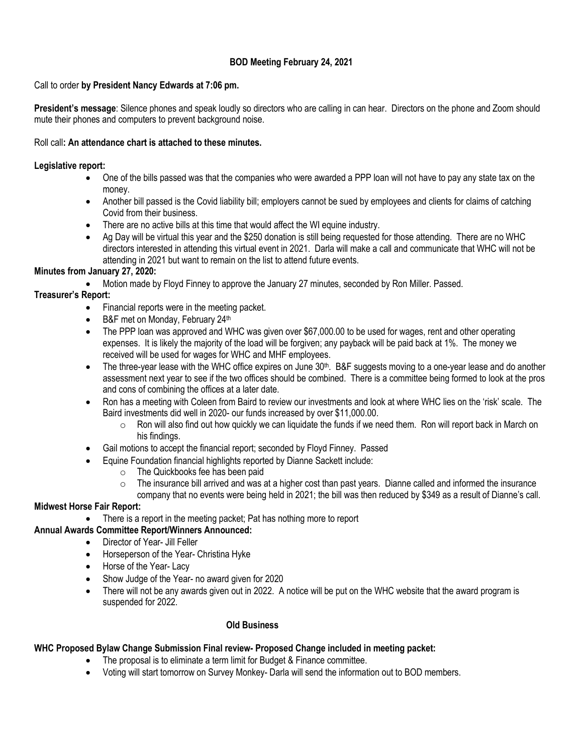# **BOD Meeting February 24, 2021**

## Call to order **by President Nancy Edwards at 7:06 pm.**

**President's message**: Silence phones and speak loudly so directors who are calling in can hear. Directors on the phone and Zoom should mute their phones and computers to prevent background noise.

## Roll call**: An attendance chart is attached to these minutes.**

### **Legislative report:**

- One of the bills passed was that the companies who were awarded a PPP loan will not have to pay any state tax on the money.
- Another bill passed is the Covid liability bill; employers cannot be sued by employees and clients for claims of catching Covid from their business.
- There are no active bills at this time that would affect the WI equine industry.
- Ag Day will be virtual this year and the \$250 donation is still being requested for those attending. There are no WHC directors interested in attending this virtual event in 2021. Darla will make a call and communicate that WHC will not be attending in 2021 but want to remain on the list to attend future events.

## **Minutes from January 27, 2020:**

• Motion made by Floyd Finney to approve the January 27 minutes, seconded by Ron Miller. Passed.

## **Treasurer's Report:**

- Financial reports were in the meeting packet.
- B&F met on Monday, February 24th
- The PPP loan was approved and WHC was given over \$67,000.00 to be used for wages, rent and other operating expenses. It is likely the majority of the load will be forgiven; any payback will be paid back at 1%. The money we received will be used for wages for WHC and MHF employees.
- The three-year lease with the WHC office expires on June  $30<sup>th</sup>$ . B&F suggests moving to a one-year lease and do another assessment next year to see if the two offices should be combined. There is a committee being formed to look at the pros and cons of combining the offices at a later date.
- Ron has a meeting with Coleen from Baird to review our investments and look at where WHC lies on the 'risk' scale. The Baird investments did well in 2020- our funds increased by over \$11,000.00.
	- $\circ$  Ron will also find out how quickly we can liquidate the funds if we need them. Ron will report back in March on his findings.
- Gail motions to accept the financial report; seconded by Floyd Finney. Passed
- Equine Foundation financial highlights reported by Dianne Sackett include:
	- o The Quickbooks fee has been paid
	- $\circ$  The insurance bill arrived and was at a higher cost than past years. Dianne called and informed the insurance company that no events were being held in 2021; the bill was then reduced by \$349 as a result of Dianne's call.

#### **Midwest Horse Fair Report:**

- There is a report in the meeting packet; Pat has nothing more to report
- **Annual Awards Committee Report/Winners Announced:**
	- Director of Year- Jill Feller
	- Horseperson of the Year- Christina Hyke
	- Horse of the Year-Lacy
	- Show Judge of the Year- no award given for 2020
	- There will not be any awards given out in 2022. A notice will be put on the WHC website that the award program is suspended for 2022.

#### **Old Business**

# **WHC Proposed Bylaw Change Submission Final review- Proposed Change included in meeting packet:**

- The proposal is to eliminate a term limit for Budget & Finance committee.
- Voting will start tomorrow on Survey Monkey- Darla will send the information out to BOD members.